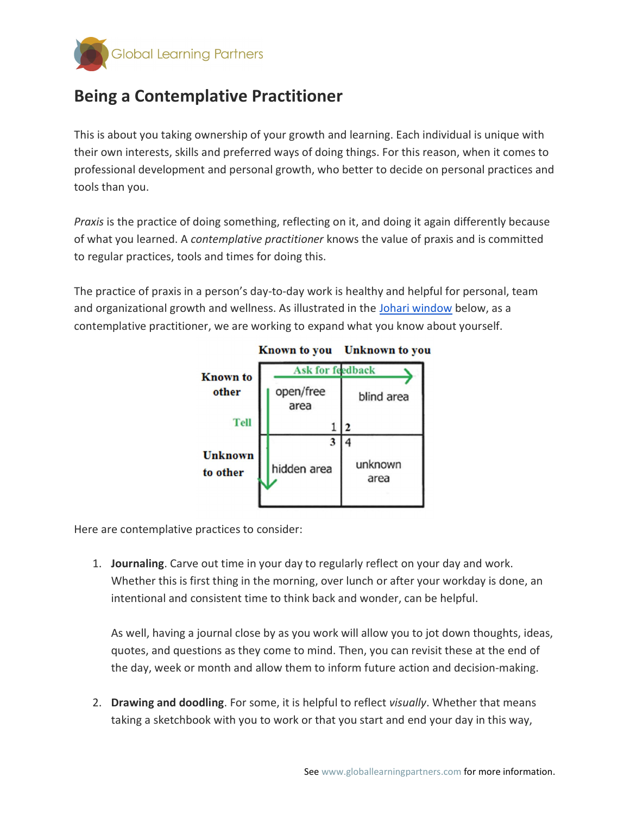

## Being a Contemplative Practitioner

This is about you taking ownership of your growth and learning. Each individual is unique with their own interests, skills and preferred ways of doing things. For this reason, when it comes to professional development and personal growth, who better to decide on personal practices and tools than you.

Praxis is the practice of doing something, reflecting on it, and doing it again differently because of what you learned. A contemplative practitioner knows the value of praxis and is committed to regular practices, tools and times for doing this.

The practice of praxis in a person's day-to-day work is healthy and helpful for personal, team and organizational growth and wellness. As illustrated in the Johari window below, as a contemplative practitioner, we are working to expand what you know about yourself.



Here are contemplative practices to consider:

1. Journaling. Carve out time in your day to regularly reflect on your day and work. Whether this is first thing in the morning, over lunch or after your workday is done, an intentional and consistent time to think back and wonder, can be helpful.

As well, having a journal close by as you work will allow you to jot down thoughts, ideas, quotes, and questions as they come to mind. Then, you can revisit these at the end of the day, week or month and allow them to inform future action and decision-making.

2. Drawing and doodling. For some, it is helpful to reflect visually. Whether that means taking a sketchbook with you to work or that you start and end your day in this way,